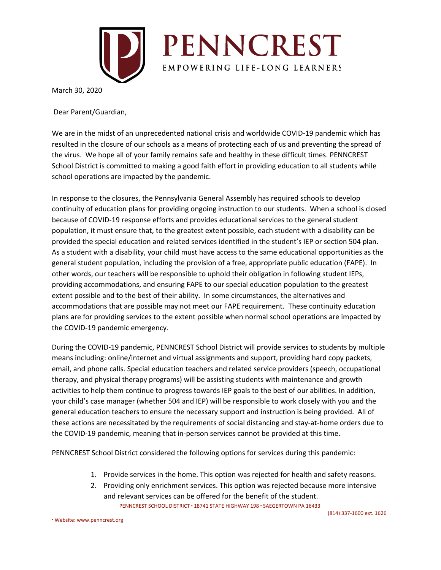

March 30, 2020

Dear Parent/Guardian,

We are in the midst of an unprecedented national crisis and worldwide COVID-19 pandemic which has resulted in the closure of our schools as a means of protecting each of us and preventing the spread of the virus. We hope all of your family remains safe and healthy in these difficult times. PENNCREST School District is committed to making a good faith effort in providing education to all students while school operations are impacted by the pandemic.

In response to the closures, the Pennsylvania General Assembly has required schools to develop continuity of education plans for providing ongoing instruction to our students. When a school is closed because of COVID-19 response efforts and provides educational services to the general student population, it must ensure that, to the greatest extent possible, each student with a disability can be provided the special education and related services identified in the student's IEP or section 504 plan. As a student with a disability, your child must have access to the same educational opportunities as the general student population, including the provision of a free, appropriate public education (FAPE). In other words, our teachers will be responsible to uphold their obligation in following student IEPs, providing accommodations, and ensuring FAPE to our special education population to the greatest extent possible and to the best of their ability. In some circumstances, the alternatives and accommodations that are possible may not meet our FAPE requirement. These continuity education plans are for providing services to the extent possible when normal school operations are impacted by the COVID-19 pandemic emergency.

During the COVID-19 pandemic, PENNCREST School District will provide services to students by multiple means including: online/internet and virtual assignments and support, providing hard copy packets, email, and phone calls. Special education teachers and related service providers (speech, occupational therapy, and physical therapy programs) will be assisting students with maintenance and growth activities to help them continue to progress towards IEP goals to the best of our abilities. In addition, your child's case manager (whether 504 and IEP) will be responsible to work closely with you and the general education teachers to ensure the necessary support and instruction is being provided. All of these actions are necessitated by the requirements of social distancing and stay-at-home orders due to the COVID-19 pandemic, meaning that in-person services cannot be provided at this time.

PENNCREST School District considered the following options for services during this pandemic:

- 1. Provide services in the home. This option was rejected for health and safety reasons.
- 2. Providing only enrichment services. This option was rejected because more intensive and relevant services can be offered for the benefit of the student.